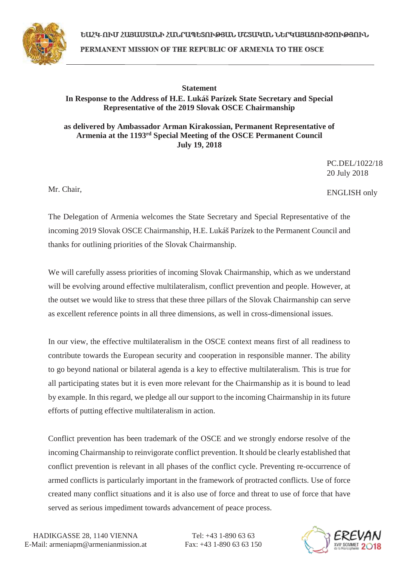

ԵԱՀԿ-ՈՒՄ ՀԱՑԱՍՏԱՆԻ ՀԱՆՐԱՊԵՏՈՒԹՅԱՆ ՄՇՏԱԿԱՆ ՆԵՐԿԱՑԱՑՈՒՑՉՈՒԹՅՈՒՆ PERMANENT MISSION OF THE REPUBLIC OF ARMENIA TO THE OSCE

## **Statement In Response to the Address of H.E. Lukáš Parízek State Secretary and Special Representative of the 2019 Slovak OSCE Chairmanship**

**as delivered by Ambassador Arman Kirakossian, Permanent Representative of Armenia at the 1193rd Special Meeting of the OSCE Permanent Council July 19, 2018** 

> PC.DEL/1022/18 20 July 2018

Mr. Chair,

ENGLISH only

The Delegation of Armenia welcomes the State Secretary and Special Representative of the incoming 2019 Slovak OSCE Chairmanship, H.E. Lukáš Parízek to the Permanent Council and thanks for outlining priorities of the Slovak Chairmanship.

We will carefully assess priorities of incoming Slovak Chairmanship, which as we understand will be evolving around effective multilateralism, conflict prevention and people. However, at the outset we would like to stress that these three pillars of the Slovak Chairmanship can serve as excellent reference points in all three dimensions, as well in cross-dimensional issues.

In our view, the effective multilateralism in the OSCE context means first of all readiness to contribute towards the European security and cooperation in responsible manner. The ability to go beyond national or bilateral agenda is a key to effective multilateralism. This is true for all participating states but it is even more relevant for the Chairmanship as it is bound to lead by example. In this regard, we pledge all our support to the incoming Chairmanship in its future efforts of putting effective multilateralism in action.

Conflict prevention has been trademark of the OSCE and we strongly endorse resolve of the incoming Chairmanship to reinvigorate conflict prevention. It should be clearly established that conflict prevention is relevant in all phases of the conflict cycle. Preventing re-occurrence of armed conflicts is particularly important in the framework of protracted conflicts. Use of force created many conflict situations and it is also use of force and threat to use of force that have served as serious impediment towards advancement of peace process.

Tel: +43 1-890 63 63 Fax: +43 1-890 63 63 150

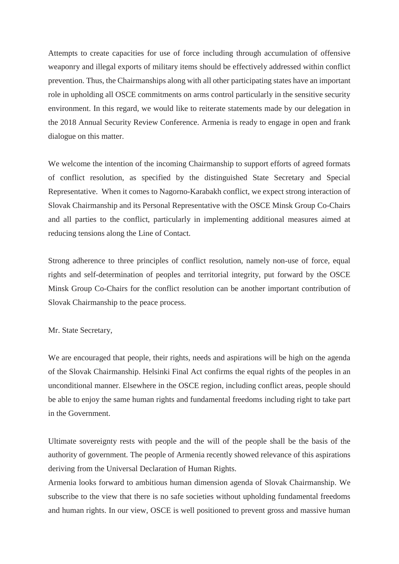Attempts to create capacities for use of force including through accumulation of offensive weaponry and illegal exports of military items should be effectively addressed within conflict prevention. Thus, the Chairmanships along with all other participating states have an important role in upholding all OSCE commitments on arms control particularly in the sensitive security environment. In this regard, we would like to reiterate statements made by our delegation in the 2018 Annual Security Review Conference. Armenia is ready to engage in open and frank dialogue on this matter.

We welcome the intention of the incoming Chairmanship to support efforts of agreed formats of conflict resolution, as specified by the distinguished State Secretary and Special Representative. When it comes to Nagorno-Karabakh conflict, we expect strong interaction of Slovak Chairmanship and its Personal Representative with the OSCE Minsk Group Co-Chairs and all parties to the conflict, particularly in implementing additional measures aimed at reducing tensions along the Line of Contact.

Strong adherence to three principles of conflict resolution, namely non-use of force, equal rights and self-determination of peoples and territorial integrity, put forward by the OSCE Minsk Group Co-Chairs for the conflict resolution can be another important contribution of Slovak Chairmanship to the peace process.

## Mr. State Secretary,

We are encouraged that people, their rights, needs and aspirations will be high on the agenda of the Slovak Chairmanship. Helsinki Final Act confirms the equal rights of the peoples in an unconditional manner. Elsewhere in the OSCE region, including conflict areas, people should be able to enjoy the same human rights and fundamental freedoms including right to take part in the Government.

Ultimate sovereignty rests with people and the will of the people shall be the basis of the authority of government. The people of Armenia recently showed relevance of this aspirations deriving from the Universal Declaration of Human Rights.

Armenia looks forward to ambitious human dimension agenda of Slovak Chairmanship. We subscribe to the view that there is no safe societies without upholding fundamental freedoms and human rights. In our view, OSCE is well positioned to prevent gross and massive human